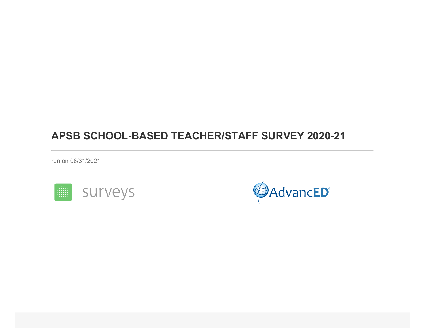run on 06/31/2021



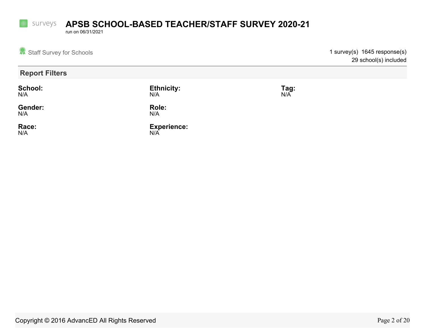run on 06/31/2021

**Fille** 

| Staff Survey for Schools |                           |                    | 1 survey(s) 1645 response(s)<br>29 school(s) included |
|--------------------------|---------------------------|--------------------|-------------------------------------------------------|
| <b>Report Filters</b>    |                           |                    |                                                       |
| School:<br>N/A           | <b>Ethnicity:</b><br>N/A  | <b>Tag:</b><br>N/A |                                                       |
| Gender:<br>N/A           | Role:<br>N/A              |                    |                                                       |
| Race:<br>N/A             | <b>Experience:</b><br>N/A |                    |                                                       |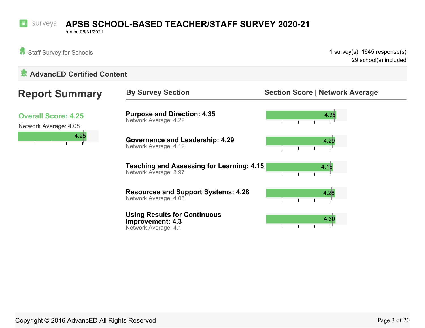run on 06/31/2021

Staff Survey for Schools **1** survey(s) 1645 response(s) 29 school(s) included

### **AdvancED Certified Content**

| <b>Report Summary</b>                               | <b>By Survey Section</b>                                                  | <b>Section Score   Network Average</b> |
|-----------------------------------------------------|---------------------------------------------------------------------------|----------------------------------------|
| <b>Overall Score: 4.25</b><br>Network Average: 4.08 | <b>Purpose and Direction: 4.35</b><br>Network Average: 4.22               | 4.35                                   |
| 4.25                                                | <b>Governance and Leadership: 4.29</b><br>Network Average: 4.12           | 4.29                                   |
|                                                     | <b>Teaching and Assessing for Learning: 4.15</b><br>Network Average: 3.97 | 4.15                                   |
|                                                     | <b>Resources and Support Systems: 4.28</b><br>Network Average: 4.08       | 4.28                                   |
|                                                     | <b>Using Results for Continuous</b>                                       | $\overline{AB}$                        |

**Improvement: 4.3** Network Average: 4.1

ТL  $\overline{1}$  $\mathbf{I}$  $\mathbb{R}^n$  $\mathbf{L}$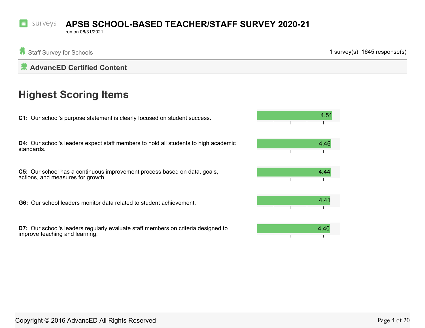run on 06/31/2021

Staff Survey for Schools **1** survey(s) 1645 response(s)

### **AdvancED Certified Content**

# **Highest Scoring Items**

**C1:** Our school's purpose statement is clearly focused on student success.

**D4:** Our school's leaders expect staff members to hold all students to high academic standards.

**C5:** Our school has a continuous improvement process based on data, goals, actions, and measures for growth.

**G6:** Our school leaders monitor data related to student achievement.

**D7:** Our school's leaders regularly evaluate staff members on criteria designed to improve teaching and learning.

| 4.51 |   |   |
|------|---|---|
|      |   |   |
| 4.46 |   |   |
|      | I | ı |
| 4.44 |   |   |
|      | I | ı |
| 4.41 |   |   |
|      | I |   |
| 4.40 |   |   |
|      | I | ī |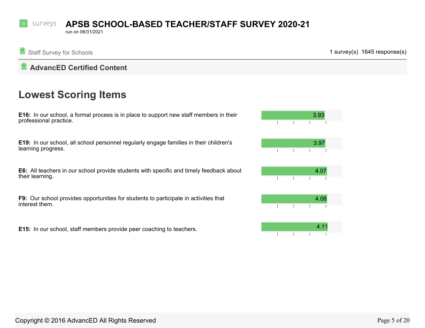#### surveys **APSB SCHOOL-BASED TEACHER/STAFF SURVEY 2020-21**

run on 06/31/2021

Staff Survey for Schools **1** survey(s) 1645 response(s)

### **AdvancED Certified Content**

# **Lowest Scoring Items**

**E16:** In our school, a formal process is in place to support new staff members in their professional practice.

**E19:** In our school, all school personnel regularly engage families in their children's learning progress.

**E6:** All teachers in our school provide students with specific and timely feedback about their learning.

**F9:** Our school provides opportunities for students to participate in activities that interest them.

**E15:** In our school, staff members provide peer coaching to teachers.

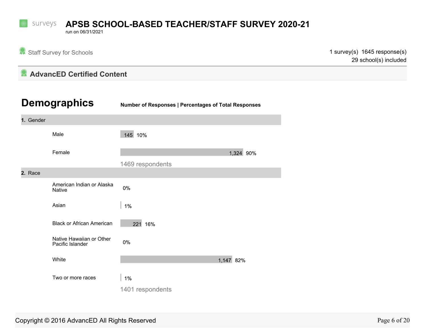run on 06/31/2021

 $\Omega$ 

Staff Survey for Schools **1** survey(s) 1645 response(s) 29 school(s) included

### **AdvancED Certified Content**

|           | <b>Demographics</b>                          | Number of Responses   Percentages of Total Responses |  |  |  |  |
|-----------|----------------------------------------------|------------------------------------------------------|--|--|--|--|
| 1. Gender |                                              |                                                      |  |  |  |  |
|           | Male                                         | 145 10%                                              |  |  |  |  |
|           | Female                                       | 1,324 90%                                            |  |  |  |  |
|           |                                              | 1469 respondents                                     |  |  |  |  |
| 2. Race   |                                              |                                                      |  |  |  |  |
|           | American Indian or Alaska<br><b>Native</b>   | 0%                                                   |  |  |  |  |
|           | Asian                                        | 1%                                                   |  |  |  |  |
|           | <b>Black or African American</b>             | 221 16%                                              |  |  |  |  |
|           | Native Hawaiian or Other<br>Pacific Islander | 0%                                                   |  |  |  |  |
|           | White                                        | 1,147 82%                                            |  |  |  |  |
|           | Two or more races                            | 1%                                                   |  |  |  |  |
|           |                                              | 1401 respondents                                     |  |  |  |  |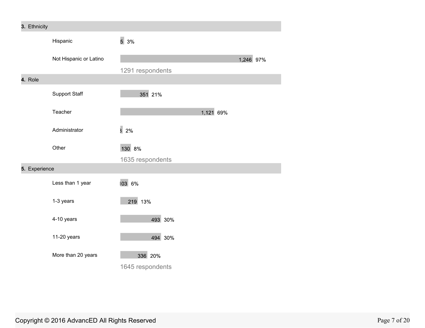| 3. Ethnicity  |                        |                             |           |           |
|---------------|------------------------|-----------------------------|-----------|-----------|
|               | Hispanic               | 53%                         |           |           |
|               | Not Hispanic or Latino | 1291 respondents            |           | 1,246 97% |
| 4. Role       |                        |                             |           |           |
|               | Support Staff          | 351 21%                     |           |           |
|               | Teacher                |                             | 1,121 69% |           |
|               | Administrator          | 32%                         |           |           |
|               | Other                  | 130 8%<br>1635 respondents  |           |           |
| 5. Experience |                        |                             |           |           |
|               | Less than 1 year       | 103 6%                      |           |           |
|               | 1-3 years              | 219 13%                     |           |           |
|               | 4-10 years             | 493 30%                     |           |           |
|               | 11-20 years            | 494 30%                     |           |           |
|               | More than 20 years     | 336 20%<br>1645 respondents |           |           |

### Copyright © 2016 AdvancED All Rights Reserved **Page 7** of 20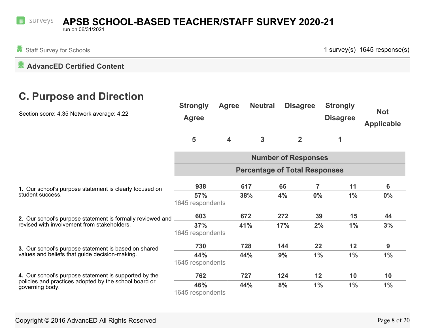#### surveys **APSB SCHOOL-BASED TEACHER/STAFF SURVEY 2020-21**

run on 06/31/2021

Staff Survey for Schools **1 survey(s) 1645 response(s)** 1 survey(s) 1645 response(s)

**AdvancED Certified Content** 

# **C. Purpose and Direction**

| Section score: 4.35 Network average: 4.22                                   | <b>Strongly</b><br><b>Agree</b> | <b>Agree</b>               | <b>Neutral</b> | <b>Disagree</b>                      | <b>Strongly</b><br><b>Disagree</b> | <b>Not</b><br><b>Applicable</b> |  |  |
|-----------------------------------------------------------------------------|---------------------------------|----------------------------|----------------|--------------------------------------|------------------------------------|---------------------------------|--|--|
|                                                                             | 5                               | $\overline{\mathbf{4}}$    | 3              | $\overline{2}$                       | 1                                  |                                 |  |  |
|                                                                             |                                 | <b>Number of Responses</b> |                |                                      |                                    |                                 |  |  |
|                                                                             |                                 |                            |                | <b>Percentage of Total Responses</b> |                                    |                                 |  |  |
| 1. Our school's purpose statement is clearly focused on<br>student success. | 938                             |                            | 617            | 7<br>66                              | 11                                 | 6                               |  |  |
|                                                                             | 57%<br>1645 respondents         |                            | 38%            | 4%<br>$0\%$                          | $1\%$                              | $0\%$                           |  |  |
| 2. Our school's purpose statement is formally reviewed and                  | 603                             |                            | 672            | 272<br>39                            | 15                                 | 44                              |  |  |
| revised with involvement from stakeholders.                                 | 37%<br>1645 respondents         |                            | 41%            | 17%                                  | 2%<br>$1\%$                        | 3%                              |  |  |
| 3. Our school's purpose statement is based on shared                        | 730                             |                            | 728            | 22<br>144                            | 12                                 | 9                               |  |  |
| values and beliefs that guide decision-making.                              | 44%<br>1645 respondents         |                            | 44%            | 9%<br>$1\%$                          | $1\%$                              | $1\%$                           |  |  |
| 4. Our school's purpose statement is supported by the                       | 762                             |                            | 727            | 124<br>12                            | 10                                 | 10                              |  |  |
| policies and practices adopted by the school board or<br>governing body.    | 46%<br>1645 respondents         |                            | 44%            | 8%<br>$1\%$                          | $1\%$                              | $1\%$                           |  |  |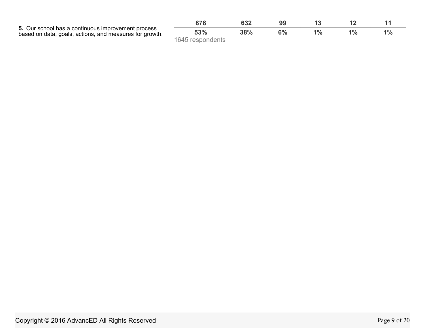<span id="page-8-0"></span>

| 5. Our school has a continuous improvement process<br>based on data, goals, actions, and measures for growth. | 53%              | 38% |  | $1\%$ |
|---------------------------------------------------------------------------------------------------------------|------------------|-----|--|-------|
|                                                                                                               | 1645 respondents |     |  |       |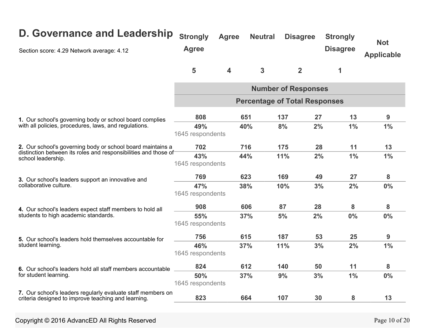| D. Governance and Leadership<br>Section score: 4.29 Network average: 4.12                                          | <b>Strongly</b><br><b>Agree</b> | <b>Agree</b>            | <b>Neutral</b> | <b>Disagree</b>                      | <b>Strongly</b><br><b>Disagree</b> | <b>Not</b><br><b>Applicable</b> |
|--------------------------------------------------------------------------------------------------------------------|---------------------------------|-------------------------|----------------|--------------------------------------|------------------------------------|---------------------------------|
|                                                                                                                    | 5                               | $\overline{\mathbf{4}}$ | $\overline{3}$ | $\overline{2}$                       | 1                                  |                                 |
|                                                                                                                    |                                 |                         |                | <b>Number of Responses</b>           |                                    |                                 |
|                                                                                                                    |                                 |                         |                | <b>Percentage of Total Responses</b> |                                    |                                 |
| 1. Our school's governing body or school board complies                                                            | 808                             |                         | 651            | 137<br>27                            | 13                                 | 9                               |
| with all policies, procedures, laws, and regulations.                                                              | 49%<br>1645 respondents         |                         | 40%            | 8%<br>2%                             | 1%                                 | 1%                              |
| 2. Our school's governing body or school board maintains a                                                         | 702                             |                         | 716            | 175                                  | 28<br>11                           | 13                              |
| distinction between its roles and responsibilities and those of<br>school leadership.                              | 43%<br>1645 respondents         | 44%                     |                | 11%<br>2%                            | 1%                                 | 1%                              |
| 3. Our school's leaders support an innovative and                                                                  | 769                             |                         | 623            | 169<br>49                            | 27                                 | 8                               |
| collaborative culture.                                                                                             | 47%<br>1645 respondents         | 38%                     |                | 10%<br>3%                            | 2%                                 | 0%                              |
| 4. Our school's leaders expect staff members to hold all                                                           | 908                             |                         | 606            | 28<br>87                             | 8                                  | 8                               |
| students to high academic standards.                                                                               | 55%<br>1645 respondents         |                         | 37%            | 5%<br>2%                             | $0\%$                              | 0%                              |
| 5. Our school's leaders hold themselves accountable for                                                            | 756                             |                         | 615            | 187                                  | 53<br>25                           | 9                               |
| student learning.                                                                                                  | 46%<br>1645 respondents         | 37%                     |                | 11%<br>3%                            | 2%                                 | 1%                              |
| 6. Our school's leaders hold all staff members accountable                                                         | 824                             |                         | 612            | 140<br>50                            | 11                                 | 8                               |
| for student learning.                                                                                              | 50%<br>1645 respondents         |                         | 37%            | 9%<br>3%                             | 1%                                 | 0%                              |
| 7. Our school's leaders regularly evaluate staff members on<br>criteria designed to improve teaching and learning. | 823                             |                         | 664            | 107<br>30                            | 8                                  | 13                              |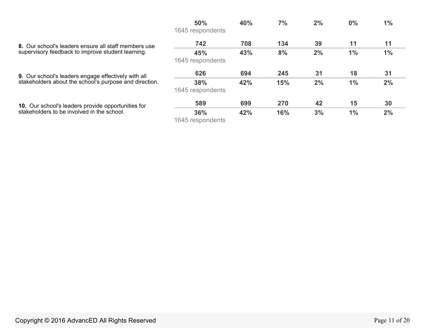|                                                                                                           | 50%                     | 40% | 7%  | 2% | 0% | $1\%$ |
|-----------------------------------------------------------------------------------------------------------|-------------------------|-----|-----|----|----|-------|
|                                                                                                           | 1645 respondents        |     |     |    |    |       |
| 8. Our school's leaders ensure all staff members use<br>supervisory feedback to improve student learning. | 742                     | 708 | 134 | 39 | 11 | 11    |
|                                                                                                           | 45%<br>1645 respondents | 43% | 8%  | 2% | 1% | 1%    |
| <b>9.</b> Our school's leaders engage effectively with all                                                | 626                     | 694 | 245 | 31 | 18 | 31    |
| stakeholders about the school's purpose and direction.                                                    | 38%<br>1645 respondents | 42% | 15% | 2% | 1% | 2%    |
| 10. Our school's leaders provide opportunities for                                                        | 589                     | 699 | 270 | 42 | 15 | 30    |
| stakeholders to be involved in the school.                                                                | 36%<br>1645 respondents | 42% | 16% | 3% | 1% | 2%    |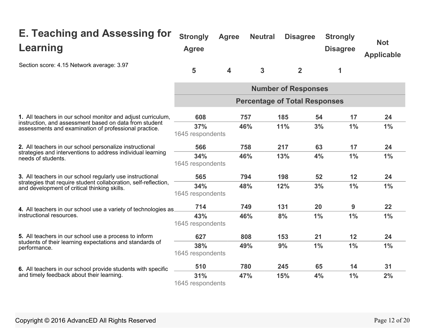| <b>E. Teaching and Assessing for</b><br>Learning                                                                | <b>Strongly</b><br><b>Agree</b> | <b>Agree</b>            | <b>Neutral</b> | <b>Disagree</b>                      | <b>Strongly</b><br><b>Disagree</b> | <b>Not</b><br><b>Applicable</b> |
|-----------------------------------------------------------------------------------------------------------------|---------------------------------|-------------------------|----------------|--------------------------------------|------------------------------------|---------------------------------|
| Section score: 4.15 Network average: 3.97                                                                       | 5                               | $\overline{\mathbf{4}}$ | 3              | $\overline{2}$                       | 1                                  |                                 |
|                                                                                                                 |                                 |                         |                | <b>Number of Responses</b>           |                                    |                                 |
|                                                                                                                 |                                 |                         |                | <b>Percentage of Total Responses</b> |                                    |                                 |
| 1. All teachers in our school monitor and adjust curriculum,                                                    | 608                             |                         | 757            | 185<br>54                            | 17                                 | 24                              |
| instruction, and assessment based on data from student<br>assessments and examination of professional practice. | 37%<br>1645 respondents         |                         | 46%            | 11%                                  | 3%<br>1%                           | 1%                              |
| 2. All teachers in our school personalize instructional                                                         | 566                             |                         | 758            | 217<br>63                            | 17                                 | 24                              |
| strategies and interventions to address individual learning<br>needs of students.                               | 34%<br>1645 respondents         |                         | 46%            | 13%<br>4%                            | 1%                                 | 1%                              |
| 3. All teachers in our school regularly use instructional                                                       | 565                             |                         | 794            | 198<br>52                            | 12                                 | 24                              |
| strategies that require student collaboration, self-reflection,<br>and development of critical thinking skills. | 34%<br>1645 respondents         |                         | 48%            | 3%<br>12%                            | 1%                                 | 1%                              |
| 4. All teachers in our school use a variety of technologies as.                                                 | 714                             |                         | 749            | 131<br>20                            | 9                                  | 22                              |
| instructional resources.                                                                                        | 43%<br>1645 respondents         |                         | 46%            | 8%<br>$1\%$                          | 1%                                 | $1\%$                           |
| 5. All teachers in our school use a process to inform                                                           | 627                             |                         | 808            | 153<br>21                            | 12                                 | 24                              |
| students of their learning expectations and standards of<br>performance.                                        | 38%<br>1645 respondents         |                         | 49%            | 9%<br>1%                             | 1%                                 | 1%                              |
| 6. All teachers in our school provide students with specific                                                    | 510                             |                         | 780            | 65<br>245                            | 14                                 | 31                              |
| and timely feedback about their learning.                                                                       | 31%<br>1645 respondents         |                         | 47%            | 15%<br>4%                            | 1%                                 | 2%                              |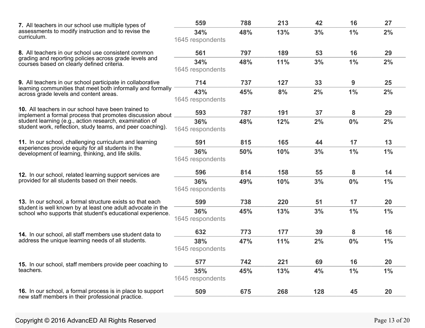| 7. All teachers in our school use multiple types of                                                                                                                                                                                                                                                                                                       | 559                                                                                                                                                                                                                                                                                                                                                                                                                                                                                                                                                                                                                                                                                                                                     | 788 | 213 | 42 | 16 | 27 |
|-----------------------------------------------------------------------------------------------------------------------------------------------------------------------------------------------------------------------------------------------------------------------------------------------------------------------------------------------------------|-----------------------------------------------------------------------------------------------------------------------------------------------------------------------------------------------------------------------------------------------------------------------------------------------------------------------------------------------------------------------------------------------------------------------------------------------------------------------------------------------------------------------------------------------------------------------------------------------------------------------------------------------------------------------------------------------------------------------------------------|-----|-----|----|----|----|
| assessments to modify instruction and to revise the                                                                                                                                                                                                                                                                                                       | 34%                                                                                                                                                                                                                                                                                                                                                                                                                                                                                                                                                                                                                                                                                                                                     | 48% | 13% | 3% | 1% | 2% |
| curriculum.                                                                                                                                                                                                                                                                                                                                               | 1645 respondents<br>797<br>53<br>16<br>561<br>189<br>48%<br>11%<br>3%<br>$1\%$<br>34%<br>1645 respondents<br>737<br>714<br>127<br>33<br>9<br>2%<br>1%<br>43%<br>45%<br>8%<br>1645 respondents<br>593<br>787<br>191<br>37<br>8<br>36%<br>48%<br>12%<br>2%<br>0%<br>1645 respondents<br>815<br>17<br>591<br>165<br>44<br>50%<br>10%<br>3%<br>$1\%$<br>36%<br>1645 respondents<br>814<br>596<br>158<br>55<br>8<br>3%<br>36%<br>49%<br>10%<br>0%<br>1645 respondents<br>738<br>599<br>220<br>51<br>17<br>36%<br>45%<br>13%<br>3%<br>$1\%$<br>1645 respondents<br>632<br>773<br>177<br>39<br>8<br>47%<br>2%<br>0%<br>38%<br>11%<br>1645 respondents<br>69<br>16<br>742<br>221<br>577<br>45%<br>13%<br>4%<br>$1\%$<br>35%<br>1645 respondents |     |     |    |    |    |
| 8. All teachers in our school use consistent common                                                                                                                                                                                                                                                                                                       |                                                                                                                                                                                                                                                                                                                                                                                                                                                                                                                                                                                                                                                                                                                                         |     |     |    |    | 29 |
| grading and reporting policies across grade levels and<br>courses based on clearly defined criteria.                                                                                                                                                                                                                                                      |                                                                                                                                                                                                                                                                                                                                                                                                                                                                                                                                                                                                                                                                                                                                         |     |     |    |    | 2% |
|                                                                                                                                                                                                                                                                                                                                                           |                                                                                                                                                                                                                                                                                                                                                                                                                                                                                                                                                                                                                                                                                                                                         |     |     |    |    |    |
| 9. All teachers in our school participate in collaborative                                                                                                                                                                                                                                                                                                |                                                                                                                                                                                                                                                                                                                                                                                                                                                                                                                                                                                                                                                                                                                                         |     |     |    |    | 25 |
| learning communities that meet both informally and formally<br>across grade levels and content areas.                                                                                                                                                                                                                                                     |                                                                                                                                                                                                                                                                                                                                                                                                                                                                                                                                                                                                                                                                                                                                         |     |     |    |    | 2% |
|                                                                                                                                                                                                                                                                                                                                                           |                                                                                                                                                                                                                                                                                                                                                                                                                                                                                                                                                                                                                                                                                                                                         |     |     |    |    |    |
| 10. All teachers in our school have been trained to                                                                                                                                                                                                                                                                                                       |                                                                                                                                                                                                                                                                                                                                                                                                                                                                                                                                                                                                                                                                                                                                         |     |     |    |    | 29 |
| implement a formal process that promotes discussion about<br>student learning (e.g., action research, examination of<br>student work, reflection, study teams, and peer coaching).<br>11. In our school, challenging curriculum and learning<br>experiences provide equity for all students in the<br>development of learning, thinking, and life skills. |                                                                                                                                                                                                                                                                                                                                                                                                                                                                                                                                                                                                                                                                                                                                         |     |     |    |    | 2% |
|                                                                                                                                                                                                                                                                                                                                                           | 13<br>$1\%$<br>14<br>$1\%$<br>20<br>$1\%$<br>16<br>$1\%$<br>20<br>1%<br>675<br>268<br>128<br>509<br>45<br>20                                                                                                                                                                                                                                                                                                                                                                                                                                                                                                                                                                                                                            |     |     |    |    |    |
|                                                                                                                                                                                                                                                                                                                                                           |                                                                                                                                                                                                                                                                                                                                                                                                                                                                                                                                                                                                                                                                                                                                         |     |     |    |    |    |
|                                                                                                                                                                                                                                                                                                                                                           |                                                                                                                                                                                                                                                                                                                                                                                                                                                                                                                                                                                                                                                                                                                                         |     |     |    |    |    |
|                                                                                                                                                                                                                                                                                                                                                           |                                                                                                                                                                                                                                                                                                                                                                                                                                                                                                                                                                                                                                                                                                                                         |     |     |    |    |    |
|                                                                                                                                                                                                                                                                                                                                                           |                                                                                                                                                                                                                                                                                                                                                                                                                                                                                                                                                                                                                                                                                                                                         |     |     |    |    |    |
| 12. In our school, related learning support services are<br>provided for all students based on their needs.<br>13. In our school, a formal structure exists so that each                                                                                                                                                                                  |                                                                                                                                                                                                                                                                                                                                                                                                                                                                                                                                                                                                                                                                                                                                         |     |     |    |    |    |
|                                                                                                                                                                                                                                                                                                                                                           |                                                                                                                                                                                                                                                                                                                                                                                                                                                                                                                                                                                                                                                                                                                                         |     |     |    |    |    |
|                                                                                                                                                                                                                                                                                                                                                           |                                                                                                                                                                                                                                                                                                                                                                                                                                                                                                                                                                                                                                                                                                                                         |     |     |    |    |    |
| student is well known by at least one adult advocate in the<br>school who supports that student's educational experience.                                                                                                                                                                                                                                 |                                                                                                                                                                                                                                                                                                                                                                                                                                                                                                                                                                                                                                                                                                                                         |     |     |    |    |    |
|                                                                                                                                                                                                                                                                                                                                                           |                                                                                                                                                                                                                                                                                                                                                                                                                                                                                                                                                                                                                                                                                                                                         |     |     |    |    |    |
| 14. In our school, all staff members use student data to                                                                                                                                                                                                                                                                                                  |                                                                                                                                                                                                                                                                                                                                                                                                                                                                                                                                                                                                                                                                                                                                         |     |     |    |    |    |
| address the unique learning needs of all students.                                                                                                                                                                                                                                                                                                        |                                                                                                                                                                                                                                                                                                                                                                                                                                                                                                                                                                                                                                                                                                                                         |     |     |    |    |    |
|                                                                                                                                                                                                                                                                                                                                                           |                                                                                                                                                                                                                                                                                                                                                                                                                                                                                                                                                                                                                                                                                                                                         |     |     |    |    |    |
| 15. In our school, staff members provide peer coaching to                                                                                                                                                                                                                                                                                                 |                                                                                                                                                                                                                                                                                                                                                                                                                                                                                                                                                                                                                                                                                                                                         |     |     |    |    |    |
| teachers.                                                                                                                                                                                                                                                                                                                                                 |                                                                                                                                                                                                                                                                                                                                                                                                                                                                                                                                                                                                                                                                                                                                         |     |     |    |    |    |
|                                                                                                                                                                                                                                                                                                                                                           |                                                                                                                                                                                                                                                                                                                                                                                                                                                                                                                                                                                                                                                                                                                                         |     |     |    |    |    |
| 16. In our school, a formal process is in place to support                                                                                                                                                                                                                                                                                                |                                                                                                                                                                                                                                                                                                                                                                                                                                                                                                                                                                                                                                                                                                                                         |     |     |    |    |    |
| new staff members in their professional practice.                                                                                                                                                                                                                                                                                                         |                                                                                                                                                                                                                                                                                                                                                                                                                                                                                                                                                                                                                                                                                                                                         |     |     |    |    |    |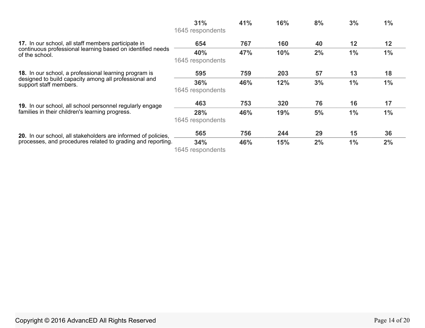|                                                                                 | 31%<br>1645 respondents  | 41% | 16% | 8% | 3% | $1\%$ |
|---------------------------------------------------------------------------------|--------------------------|-----|-----|----|----|-------|
| 17. In our school, all staff members participate in                             | 654                      | 767 | 160 | 40 | 12 | 12    |
| continuous professional learning based on identified needs<br>of the school.    | 40%<br>1645 respondents  | 47% | 10% | 2% | 1% | 1%    |
| 18. In our school, a professional learning program is                           | 595                      | 759 | 203 | 57 | 13 | 18    |
| designed to build capacity among all professional and<br>support staff members. | 36%<br>1645 respondents  | 46% | 12% | 3% | 1% | $1\%$ |
| 19. In our school, all school personnel regularly engage                        | 463                      | 753 | 320 | 76 | 16 | 17    |
| families in their children's learning progress.                                 | 28%<br>1645 respondents  | 46% | 19% | 5% | 1% | $1\%$ |
| 20. In our school, all stakeholders are informed of policies,                   | 565                      | 756 | 244 | 29 | 15 | 36    |
| processes, and procedures related to grading and reporting.                     | 34%<br>1615 reconnelante | 46% | 15% | 2% | 1% | 2%    |

1645 respondents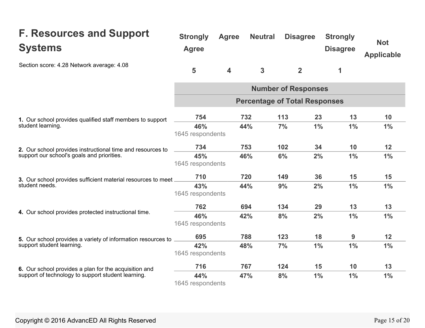#### **F. Resources and Support Systems**  Section score: 4.28 Network average: 4.08 **1.** Our school provides qualified staff members to support student learning. **2.** Our school provides instructional time and resources to support our school's goals and priorities. **3.** Our school provides sufficient material resources to meet student needs. **4.** Our school provides protected instructional time. **5.** Our school provides a variety of information resources to support student learning. **6.** Our school provides a plan for the acquisition and support of technology to support student learning. **Strongly Agree Neutral Disagree Strongly**  Agree **Disagree 5 4 3 2 1 Number of Responses Not Applicable Percentage of Total Responses 754 732 113 23 13 10 46% 44% 7% 1% 1% 1%**  1645 respondents **734 753 102 34 10 12 45% 46% 6% 2% 1% 1%**  1645 respondents **710 720 149 36 15 15 43% 44% 9% 2% 1% 1%**  1645 respondents **762 694 134 29 13 13 46% 42% 8% 2% 1% 1%**  1645 respondents **695 788 123 18 9 12 42% 48% 7% 1% 1% 1%**  1645 respondents **716 767 124 15 10 13 44% 47% 8% 1% 1% 1%**  1645 respondents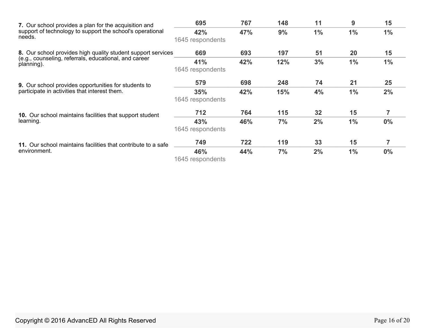<span id="page-15-0"></span>

| 7. Our school provides a plan for the acquisition and                         | 695              | 767 | 148 | 11    | 9     | 15    |  |
|-------------------------------------------------------------------------------|------------------|-----|-----|-------|-------|-------|--|
| support of technology to support the school's operational<br>needs.           | 42%              | 47% | 9%  | $1\%$ | $1\%$ | $1\%$ |  |
|                                                                               | 1645 respondents |     |     |       |       |       |  |
| 8. Our school provides high quality student support services                  | 669              | 693 | 197 | 51    | 20    | 15    |  |
| (e.g., counseling, referrals, educational, and career<br>planning).           | 41%              | 42% | 12% | 3%    | 1%    | $1\%$ |  |
|                                                                               | 1645 respondents |     |     |       |       |       |  |
| <b>9.</b> Our school provides opportunities for students to                   | 579              | 698 | 248 | 74    | 21    | 25    |  |
| participate in activities that interest them.                                 | 35%              | 42% | 15% | 4%    | 1%    | 2%    |  |
|                                                                               | 1645 respondents |     |     |       |       |       |  |
| 10. Our school maintains facilities that support student                      | 712              | 764 | 115 | 32    | 15    | 7     |  |
| learning.                                                                     | 43%              | 46% | 7%  | 2%    | $1\%$ | $0\%$ |  |
|                                                                               | 1645 respondents |     |     |       |       |       |  |
| 11. Our school maintains facilities that contribute to a safe<br>environment. | 749              | 722 | 119 | 33    | 15    | 7     |  |
|                                                                               | 46%              | 44% | 7%  | 2%    | $1\%$ | $0\%$ |  |
|                                                                               | 1645 respondents |     |     |       |       |       |  |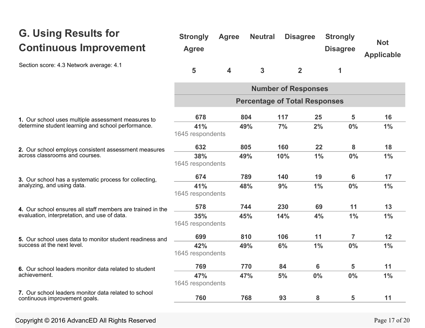# **G. Using Results for Continuous Improvement**

Section score: 4.3 Network average: 4.1

| <b>Strongly</b><br><b>Agree</b> | <b>Agree</b> | <b>Neutral</b> | <b>Disagree</b> | <b>Strongly</b><br><b>Disagree</b> | <b>Not</b><br><b>Applicable</b> |
|---------------------------------|--------------|----------------|-----------------|------------------------------------|---------------------------------|
| 5                               | $\Delta$     | 3              |                 |                                    |                                 |

|                                                                                        | <b>Number of Responses</b><br><b>Percentage of Total Responses</b> |     |     |    |       |       |  |
|----------------------------------------------------------------------------------------|--------------------------------------------------------------------|-----|-----|----|-------|-------|--|
|                                                                                        |                                                                    |     |     |    |       |       |  |
| 1. Our school uses multiple assessment measures to                                     | 678                                                                | 804 | 117 | 25 | 5     | 16    |  |
| determine student learning and school performance.                                     | 41%<br>1645 respondents                                            | 49% | 7%  | 2% | 0%    | 1%    |  |
| 2. Our school employs consistent assessment measures                                   | 632                                                                | 805 | 160 | 22 | 8     | 18    |  |
| across classrooms and courses.                                                         | 38%<br>1645 respondents                                            | 49% | 10% | 1% | $0\%$ | $1\%$ |  |
| 3. Our school has a systematic process for collecting,                                 | 674                                                                | 789 | 140 | 19 | 6     | 17    |  |
| analyzing, and using data.                                                             | 41%<br>1645 respondents                                            | 48% | 9%  | 1% | $0\%$ | 1%    |  |
| 4. Our school ensures all staff members are trained in the                             | 578                                                                | 744 | 230 | 69 | 11    | 13    |  |
| evaluation, interpretation, and use of data.                                           | 35%<br>1645 respondents                                            | 45% | 14% | 4% | 1%    | $1\%$ |  |
| 5. Our school uses data to monitor student readiness and<br>success at the next level. | 699                                                                | 810 | 106 | 11 | 7     | 12    |  |
|                                                                                        | 42%<br>1645 respondents                                            | 49% | 6%  | 1% | 0%    | 1%    |  |
| 6. Our school leaders monitor data related to student                                  | 769                                                                | 770 | 84  | 6  | 5     | 11    |  |
| achievement.                                                                           | 47%<br>1645 respondents                                            | 47% | 5%  | 0% | 0%    | $1\%$ |  |
| 7. Our school leaders monitor data related to school<br>continuous improvement goals.  | 760                                                                | 768 | 93  | 8  | 5     | 11    |  |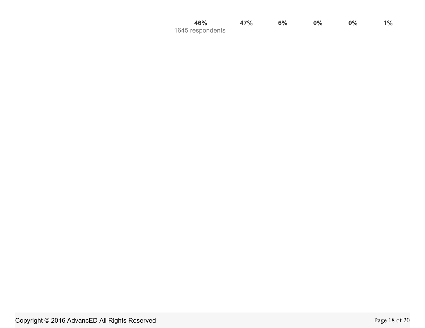| 46%              | 47% | 6% | $0\%$ | $0\%$ | $1\%$ |
|------------------|-----|----|-------|-------|-------|
| 1645 respondents |     |    |       |       |       |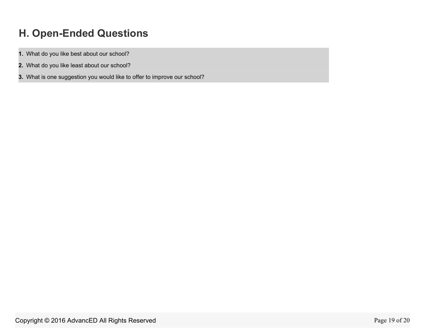# **H. Open-Ended Questions**

- **1.** What do you like best about our school?
- **2.** What do you like least about our school?
- **3.** What is one suggestion you would like to offer to improve our school?